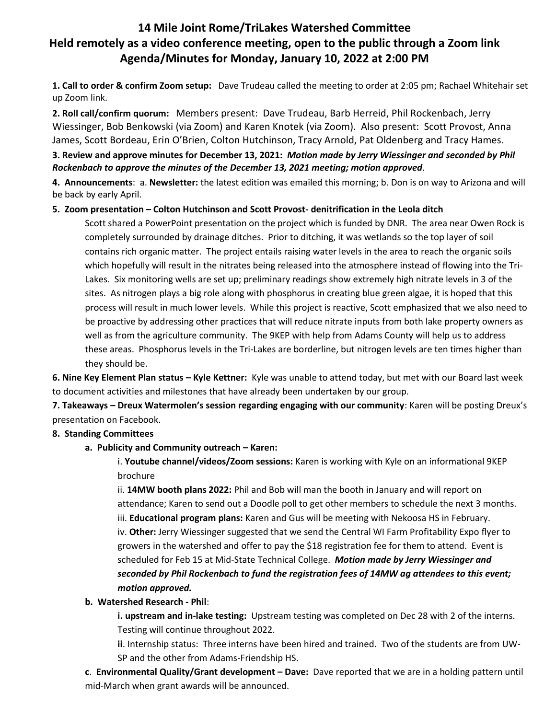# **14 Mile Joint Rome/TriLakes Watershed Committee Held remotely as a video conference meeting, open to the public through a Zoom link Agenda/Minutes for Monday, January 10, 2022 at 2:00 PM**

**1. Call to order & confirm Zoom setup:** Dave Trudeau called the meeting to order at 2:05 pm; Rachael Whitehair set up Zoom link.

**2. Roll call/confirm quorum:** Members present: Dave Trudeau, Barb Herreid, Phil Rockenbach, Jerry Wiessinger, Bob Benkowski (via Zoom) and Karen Knotek (via Zoom). Also present: Scott Provost, Anna James, Scott Bordeau, Erin O'Brien, Colton Hutchinson, Tracy Arnold, Pat Oldenberg and Tracy Hames.

## **3. Review and approve minutes for December 13, 2021:** *Motion made by Jerry Wiessinger and seconded by Phil Rockenbach to approve the minutes of the December 13, 2021 meeting; motion approved*.

**4. Announcements**: a. **Newsletter:** the latest edition was emailed this morning; b. Don is on way to Arizona and will be back by early April.

## **5. Zoom presentation – Colton Hutchinson and Scott Provost- denitrification in the Leola ditch**

Scott shared a PowerPoint presentation on the project which is funded by DNR. The area near Owen Rock is completely surrounded by drainage ditches. Prior to ditching, it was wetlands so the top layer of soil contains rich organic matter. The project entails raising water levels in the area to reach the organic soils which hopefully will result in the nitrates being released into the atmosphere instead of flowing into the Tri-Lakes. Six monitoring wells are set up; preliminary readings show extremely high nitrate levels in 3 of the sites. As nitrogen plays a big role along with phosphorus in creating blue green algae, it is hoped that this process will result in much lower levels. While this project is reactive, Scott emphasized that we also need to be proactive by addressing other practices that will reduce nitrate inputs from both lake property owners as well as from the agriculture community. The 9KEP with help from Adams County will help us to address these areas. Phosphorus levels in the Tri-Lakes are borderline, but nitrogen levels are ten times higher than they should be.

**6. Nine Key Element Plan status – Kyle Kettner:** Kyle was unable to attend today, but met with our Board last week to document activities and milestones that have already been undertaken by our group.

**7. Takeaways – Dreux Watermolen's session regarding engaging with our community**: Karen will be posting Dreux's presentation on Facebook.

## **8. Standing Committees**

#### **a. Publicity and Community outreach – Karen:**

i. **Youtube channel/videos/Zoom sessions:** Karen is working with Kyle on an informational 9KEP brochure

ii. **14MW booth plans 2022:** Phil and Bob will man the booth in January and will report on attendance; Karen to send out a Doodle poll to get other members to schedule the next 3 months. iii. **Educational program plans:** Karen and Gus will be meeting with Nekoosa HS in February.

iv. **Other:** Jerry Wiessinger suggested that we send the Central WI Farm Profitability Expo flyer to growers in the watershed and offer to pay the \$18 registration fee for them to attend. Event is scheduled for Feb 15 at Mid-State Technical College. *Motion made by Jerry Wiessinger and seconded by Phil Rockenbach to fund the registration fees of 14MW ag attendees to this event; motion approved.*

#### **b. Watershed Research - Phil**:

**i. upstream and in-lake testing:** Upstream testing was completed on Dec 28 with 2 of the interns. Testing will continue throughout 2022.

**ii**. Internship status: Three interns have been hired and trained. Two of the students are from UW-SP and the other from Adams-Friendship HS.

**c**. **Environmental Quality/Grant development – Dave:** Dave reported that we are in a holding pattern until mid-March when grant awards will be announced.